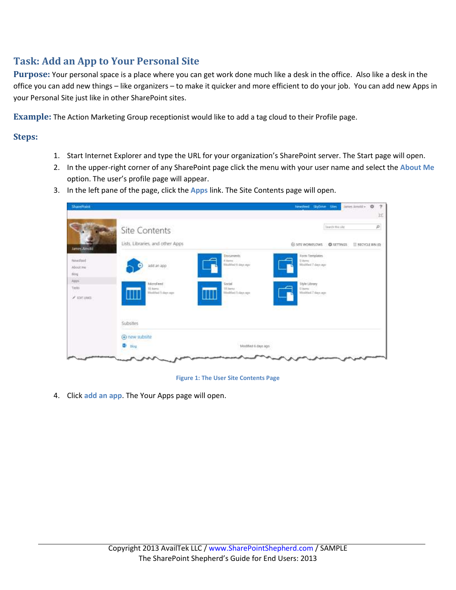## **Task: Add an App to Your Personal Site**

**Purpose:** Your personal space is a place where you can get work done much like a desk in the office. Also like a desk in the office you can add new things – like organizers – to make it quicker and more efficient to do your job. You can add new Apps in your Personal Site just like in other SharePoint sites.

**Example:** The Action Marketing Group receptionist would like to add a tag cloud to their Profile page.

## **Steps:**

- 1. Start Internet Explorer and type the URL for your organization's SharePoint server. The Start page will open.
- 2. In the upper-right corner of any SharePoint page click the menu with your user name and select the **About Me** option. The user's profile page will appear.
- 3. In the left pane of the page, click the **Apps** link. The Site Contents page will open.



**Figure 1: The User Site Contents Page**

4. Click **add an app**. The Your Apps page will open.